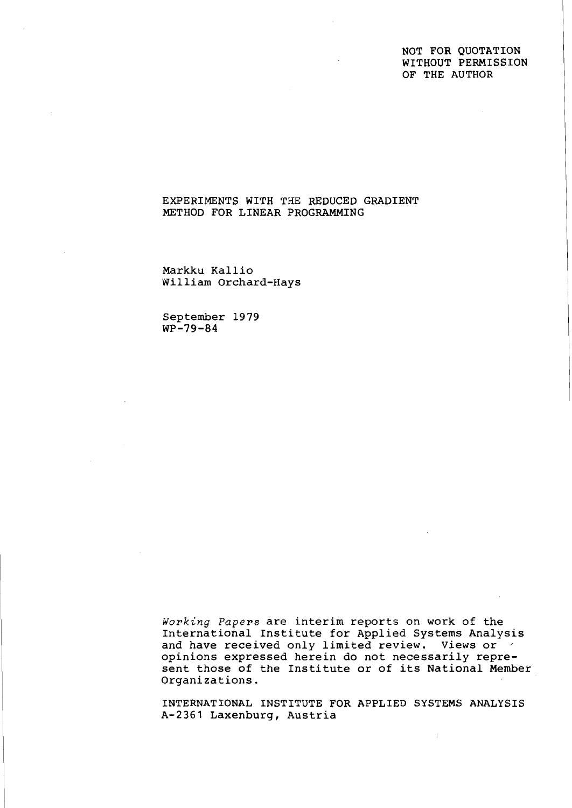## NOT FOR QUOTATION WITHOUT PERMISSION OF THE AUTHOR

## EXPERIMENTS WITH THE REDUCED GRADIENT METHOD FOR LINEAR PROGRAMMING

Markku Kallio William Orchard-Hays

September 1979  $WP-79-84$ 

**Working** *Papers* are interim reports on work of the International Institute for Applied Systems Analysis and have received only limited review. Views or  $\leq$ opinions expressed herein do not necessarily represent those of the Institute or of its National Member Organizations.

INTERNATIONAL INSTITUTE FOR APPLIED SYSTEMS ANALYSIS A-2361 Laxenburg, Austria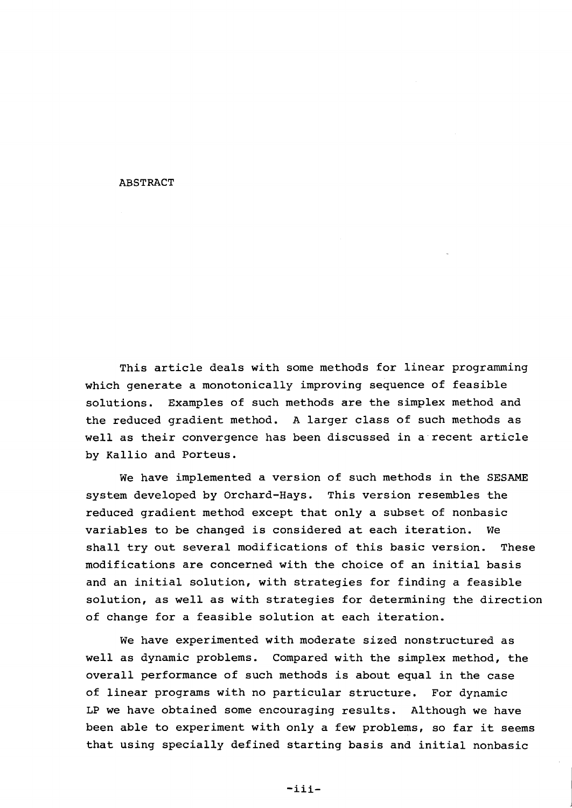#### ABSTRACT

This article deals with some methods for linear programming which generate a monotonically improving sequence of feasible solutions. Examples of such methods are the simplex method and the reduced gradient method. A larger class of such methods as well as their convergence has been discussed in a recent article by Kallio and Porteus.

We have implemented a version of such methods in the SESAME system developed by Orchard-Hays. This version resembles the reduced gradient method except that only a subset of nonbasic variables to be changed is considered at each iteration. We shall try out several modifications of this basic version. These modifications are concerned with the choice of an initial basis and an initial solution, with strategies for finding a feasible solution, as well as with strategies for determining the direction of change for a feasible solution at each iteration.

We have experimented with moderate sized nonstructured as well as dynamic problems. Compared with the simplex method, the overall performance of such methods is about equal in the case of linear programs with no particular structure. For dynamic **LP** we have obtained some encouraging results. Although we have been able to experiment with only a few problems, so far it seems that using specially defined starting basis and initial nonbasic

 $-iii$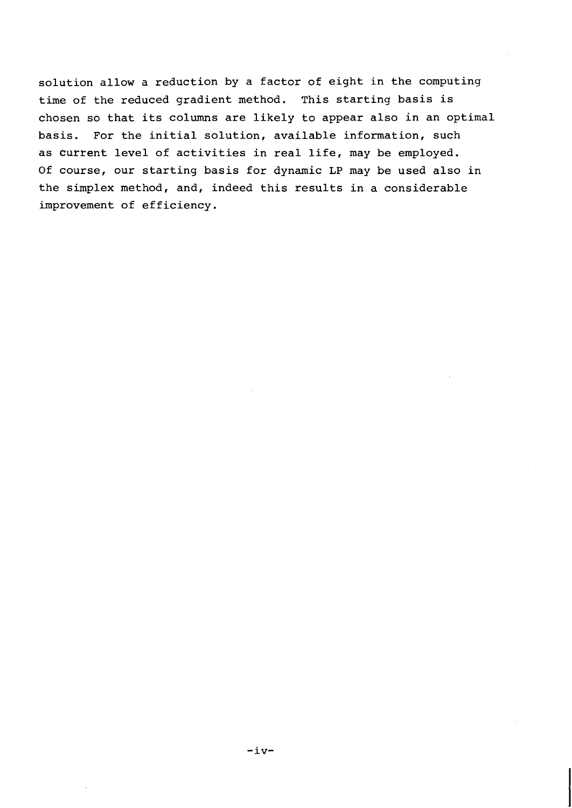solution allow a reduction by a factor of eight in the computing time of the reduced gradient method. This starting basis is chosen so that its columns are likely to appear also in an optimal basis. For the initial solution, available information, such as current level of activities in real life, may be employed. Of course, our starting basis for dynamic LP may be used also in the simplex method, and, indeed this results in a considerable improvement of efficiency.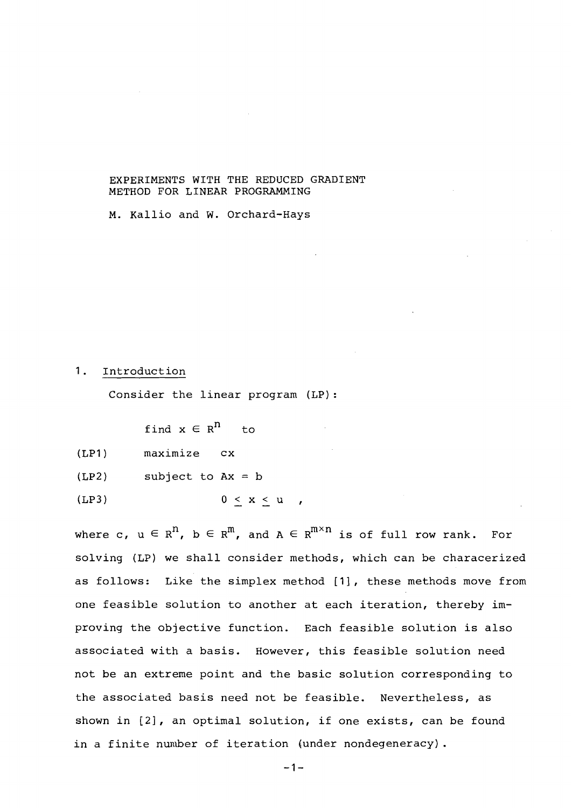### EXPERIMENTS WITH THE REDUCED GRADIENT METHOD FOR LINEAR PROGRAMMING

M. Kallio and W. Orchard-Hays

#### 1. Introduction

Consider the linear program (LP):

find  $x \in R^{n}$  to

- (LP1) maximize cx
- $(LP2)$  subject to  $Ax = b$
- (LP3)  $0 \leq x \leq u$ ,

where c,  $u \in R^{n}$ ,  $b \in R^{m}$ , and  $A \in R^{m \times n}$  is of full row rank. For solving (LP) we shall consider methods, which can be characerized as follows: Like the simplex method [I], these methods move from one feasible solution to another at each iteration, thereby improving the objective function. Each feasible solution is also associated with a basis. However, this feasible solution need not be an extreme point and the basic solution corresponding to the associated basis need not be feasible. Nevertheless, as shown in [2], an optimal solution, if one exists, can be found in a finite number of iteration (under nondegeneracy).

 $-1-$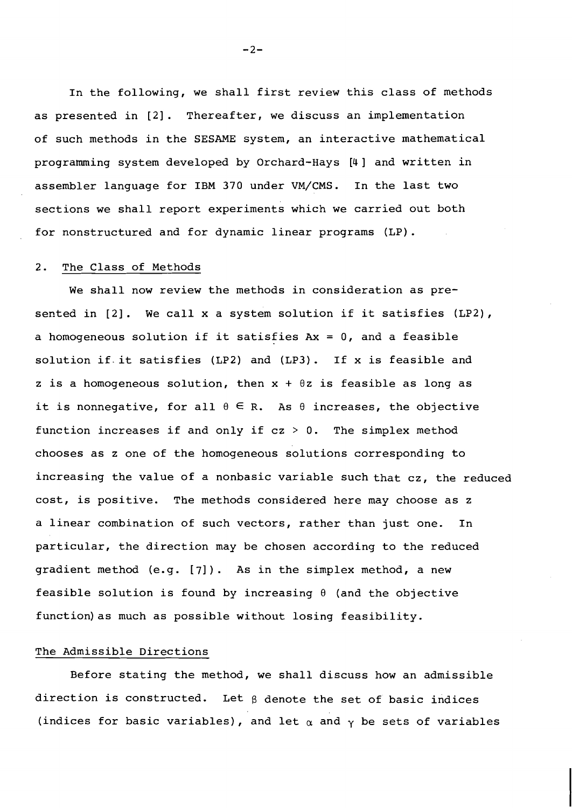In the following, we shall first review this class of methods as presented in [2]. Thereafter, we discuss an implementation of such methods in the SESAME system, an interactive mathematical programming system developed by Orchard-Hays [4] and written in assembler language for IBM 370 under VM/CMS. In the last two sections we shall report experiments which we carried out both for nonstructured and for dynamic linear programs (LP).

#### 2. The Class of Methods

We shall now review the methods in consideration as presented in [2]. We call x a system solution if it satisfies (LP2), a homogeneous solution if it satisfies  $Ax = 0$ , and a feasible solution if. it satisfies (LP2) and (LP3). If x is feasible and z is a homogeneous solution, then  $x + \theta z$  is feasible as long as it is nonnegative, for all  $\theta \in \mathbb{R}$ . As  $\theta$  increases, the objective function increases if and only if  $cz > 0$ . The simplex method chooses as z one of the homogeneous solutions corresponding to increasing the value of a nonbasic variable such that cz, the reduced cost, is positive. The methods considered here may choose as **z**  a linear combination of such vectors, rather than just one. In particular, the direction may be chosen according to the reduced gradient method (e.g. [7]). As in the simplex method, a new feasible solution is found by increasing  $\theta$  (and the objective function)as much as possible without losing feasibility.

### The Admissible Directions

Before stating the method, we shall discuss how an admissible direction is constructed. Let **B** denote the set of basic indices (indices for basic variables), and let  $\alpha$  and  $\gamma$  be sets of variables

 $-2-$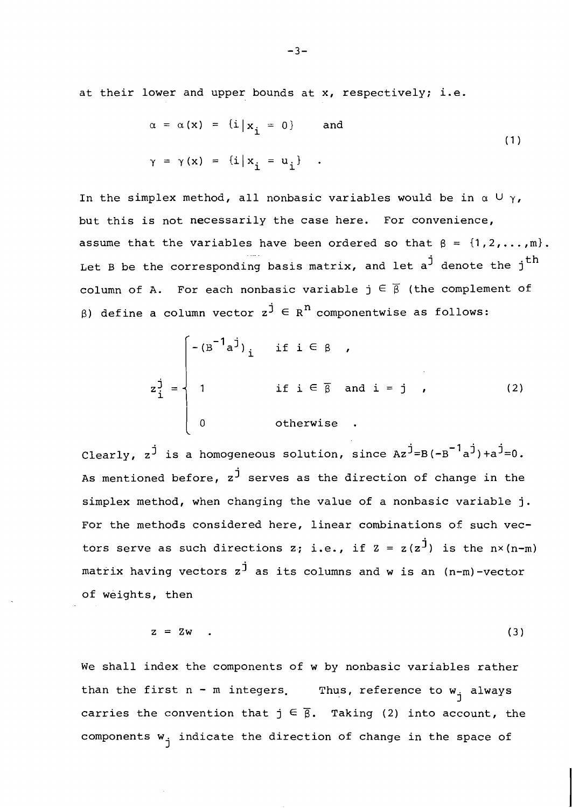at their lower and upper bounds at x, respectively; i.e.

$$
\alpha = \alpha(x) = \{i \mid x_{i} = 0\} \text{ and}
$$
  

$$
\gamma = \gamma(x) = \{i \mid x_{i} = u_{i}\}.
$$
 (1)

In the simplex method, all nonbasic variables would be in  $\alpha \cup \gamma$ , but this is not necessarily the case here. For convenience, assume that the variables have been ordered so that  $\beta = \{1, 2, ..., m\}$ . Let B be the corresponding basis matrix, and let  $a^j$  denote the j<sup>th</sup> column of A. For each nonbasic variable  $\vec{p} \in \vec{\beta}$  (the complement of 8) define a column vector  $z^j \in R^n$  componentwise as follows:

$$
z_{i}^{j} = \begin{cases} -(B^{-1}a^{j})_{i} & \text{if } i \in \beta \\ 1 & \text{if } i \in \overline{\beta} \text{ and } i = j \\ 0 & \text{otherwise} \end{cases}
$$
 (2)

Clearly,  $z^j$  is a homogeneous solution, since  $Az^j = B (-B^{-1}a^j) + a^j = 0$ . As mentioned before,  $z^j$  serves as the direction of change in the simplex method, when changing the value of a nonbasic variable **j.**  For the methods considered here, linear combinations of such vectors serve as such directions z; i.e., if  $z = z(z^{\dot{J}})$  is the  $n \times (n-m)$ matrix having vectors z<sup>j</sup> as its columns and w is an (n-m)-vector of weights, then

$$
z = 2w \qquad (3)
$$

We shall index the components of w by nonbasic variables rather than the first  $n - m$  integers. Thus, reference to  $w_i$  always carries the convention that  $j \in \overline{\beta}$ . Taking (2) into account, the components  $w_{i}$  indicate the direction of change in the space of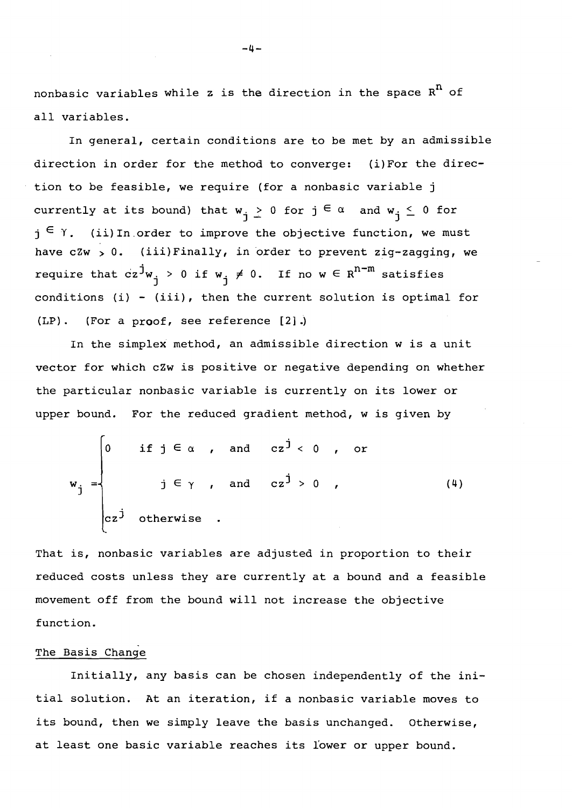nonbasic variables while z is the direction in the space  $R<sup>n</sup>$  of all variables.

In general, certain conditions are to be met by an admissible direction in order for the method to converge: (i)For the direction to be feasible, we require (for a nonbasic variable j currently at its bound) that  $w_i \ge 0$  for  $j \in \alpha$  and  $w_i \le 0$  for  $i_j \in \gamma$ . (ii) In order to improve the objective function, we must have  $czw > 0$ . (iii)Finally, in order to prevent zig-zagging, we require that  $cz^jw_j > 0$  if  $w_j \neq 0$ . If no  $w \in R^{n-m}$  satisfies conditions (i) - (iii), then the current solution is optimal for **(LP)** . (For a proof, see reference **[21** .)

In the simplex method, an admissible direction w is a unit vector for which cZw is positive or negative depending on whether the particular nonbasic variable is currently on its lower or upper bound. For the reduced gradient method, w is given by

$$
w_{j} = \begin{cases} 0 & \text{if } j \in \alpha, \text{ and } cz^{j} < 0, \text{ or} \\ & j \in \gamma, \text{ and } cz^{j} > 0, \\ cz^{j} & \text{otherwise}. \end{cases}
$$
 (4)

That is, nonbasic variables are adjusted in proportion to their reduced costs unless they are currently at a bound and a feasible movement off from the bound will not increase the objective function.

## The Basis Change

Initially, any basis can be chosen independently of the initial solution. At an iteration, if a nonbasic variable moves to its bound, then we simply leave the basis unchanged. Otherwise, at least one basic variable reaches its l'ower or upper bound.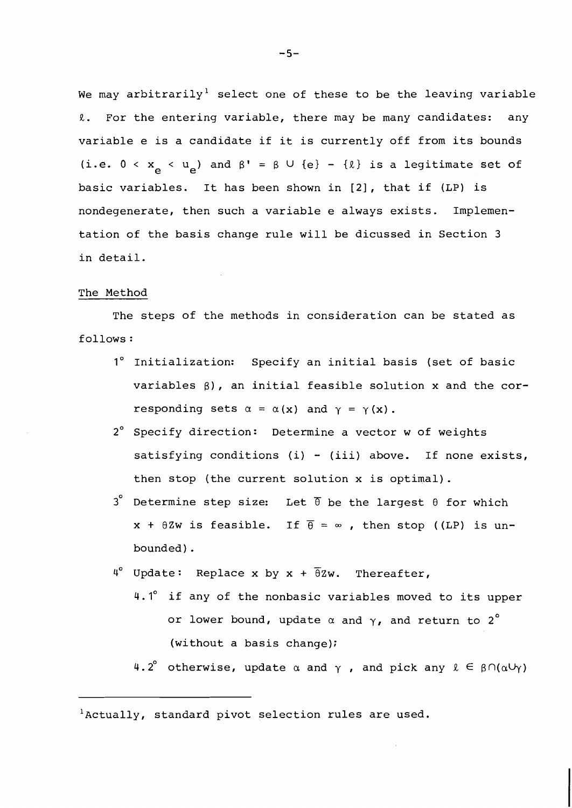We may arbitrarily<sup>1</sup> select one of these to be the leaving variable R. For the entering variable, there may be many candidates: any variable e is a candidate if it is currently off from its bounds (i.e.  $0 < x_{\alpha} < u_{\beta}$ ) and  $\beta' = \beta \cup \{e\} - \{\ell\}$  is a legitimate set of basic variables. It has been shown in [2], that if (LP) is nondegenerate, then such a variable e always exists. Implementation of the basis change rule will be dicussed in Section 3 in detail.

#### The Method

The steps of the methods in consideration can be stated as follows :

- **1'** Initialization: Specify an initial basis (set of basic variables  $\beta$ ), an initial feasible solution x and the corresponding sets  $\alpha = \alpha(x)$  and  $\gamma = \gamma(x)$ .
- 2' Specify direction: Determine a vector w of weights satisfying conditions (i) - (iii) above. If none exists, then stop (the current solution x is optimal).
- $3^{\circ}$  Determine step size: Let  $\overline{\theta}$  be the largest  $\theta$  for which  $x + \theta Zw$  is feasible. If  $\overline{\theta} = \infty$ , then stop ((LP) is unbounded) .
- $4^{\circ}$  Update: Replace x by x +  $\overline{\theta}$ Zw. Thereafter,
	- 4.1" if any of the nonbasic variables moved to its upper or lower bound, update  $\alpha$  and  $\gamma$ , and return to 2<sup>°</sup> (without a basis change);
		- 4.2° otherwise, update  $\alpha$  and  $\gamma$  , and pick any  $\ell \in \beta \cap (\alpha \cup \gamma)$

 $^{1}$ Actually, standard pivot selection rules are used.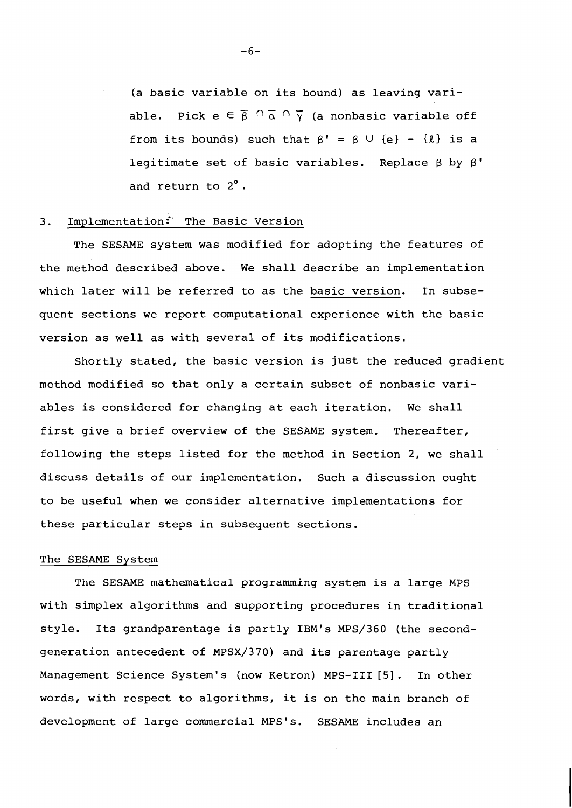(a basic variable on its bound) as leaving variable. Pick  $e \in \overline{\beta} \cap \overline{\alpha} \cap \overline{\gamma}$  (a nonbasic variable off from its bounds) such that  $\beta' = \beta \cup \{e\} - \{\ell\}$  is a legitimate set of basic variables. Replace  $\beta$  by  $\beta'$ and return to 2°.

# 3. Implementation: The Basic Version

The SESAME system was modified for adopting the features of the method described above. We shall describe an implementation which later will be referred to as the basic version. In subsequent sections we report computational experience with the basic version as well as with several of its modifications.

Shortly stated, the basic version is just the reduced gradient method modified so that only a certain subset of nonbasic variables is considered for changing at each iteration. We shall first give a brief overview of the SESAME system. Thereafter, following the steps listed for the method in Section 2, we shall discuss details of our implementation. Such a discussion ought to be useful when we consider alternative implementations for these particular steps in subsequent sections.

#### The SESAME System

The SESAME mathematical programming system is a large MPS with simplex algorithms and supporting procedures in traditional style. Its grandparentage is partly IBM's MPS/360 (the secondgeneration antecedent of MPSX/370) and its parentage partly Management Science System's (now Ketron) MPS-I11 *[5].* In other words, with respect to algorithms, it is on the main branch of development of large commercial MPS's. SESAME includes an

 $-6-$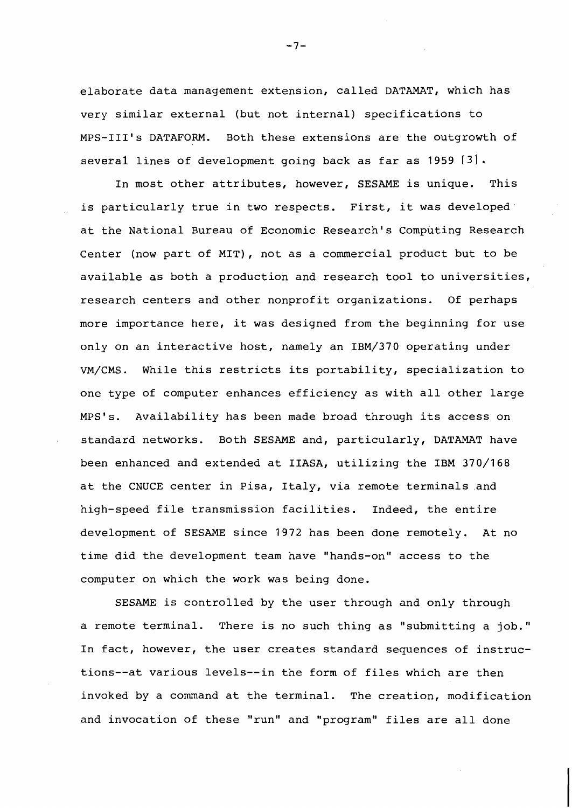elaborate data management extension, called DATAMAT, which has very similar external (but not internal) specifications to MPS-111's DATAFORM. Both these extensions are the outgrowth of several lines of development going back as far as 1959 [3].

In most other attributes, however, SESAME is unique. This is particularly true in two respects. First, it was developed at the National Bureau of Economic Research's Computing Research Center (now part of MIT), not as a commercial product but to be available as both a production and research tool to universities, research centers and other nonprofit organizations. Of perhaps more importance here, it was designed from the beginning for use only on an interactive host, namely an IBM/370 operating under VM/CMS. While this restricts its portability, specialization to one type of computer enhances efficiency as with all other large MPS's. Availability has been made broad through its access on standard networks. Both SESAME and, particularly, DATAMAT have been enhanced and extended at IIASA, utilizing the IBM 370/168 at the CNUCE center in Pisa, Italy, via remote terminals and high-speed file transmission facilities. Indeed, the entire development of SESAME since 1972 has been done remotely. At no time did the development team have "hands-on" access to the computer on which the work was being done.

SESAME is controlled by the user through and only through a remote terminal. There is no such thing as "submitting a job." In fact, however, the user creates standard sequences of instructions--at various levels--in the form of files which are then invoked by a command at the terminal. The creation, modification and invocation of these "run" and "program" files are all done

 $-7-$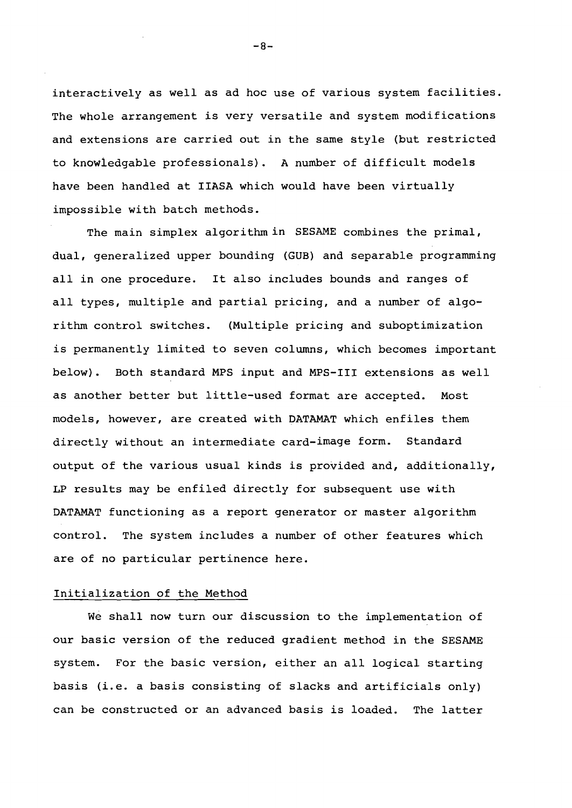interactively as well as ad hoc use of various system facilities. The whole arrangement is very versatile and system modifications and extensions are carried out in the same style (but restricted to knowledgable professionals). A number of difficult models have been handled at IIASA which would have been virtually impossible with batch methods.

The main simplex algorithm in SESAME combines the primal, dual, generalized upper bounding (GUB) and separable programming all in one procedure. It also includes bounds and ranges of all types, multiple and partial pricing, and a number of algorithm control switches. (Multiple pricing and suboptimization is permanently limited to seven columns, which becomes important below). Both standard MPS input and MPS-I11 extensions as well as another better but little-used format are accepted. Most models, however, are created with DATAMAT which enfiles them directly without an intermediate card-image form. Standard output of the various usual kinds is provided and, additionally, LP results may be enfiled directly for subsequent use with DATAMAT functioning as a report generator or master algorithm control. The system includes a number of other features which are of no particular pertinence here.

#### Initialization of the Method

We shall now turn our discussion to the implementation of our basic version of the reduced gradient method in the SESAME system. For the basic version, either an all logical starting basis (i.e. a basis consisting of slacks and artificials only) can be constructed or an advanced basis is loaded. The latter

 $-8-$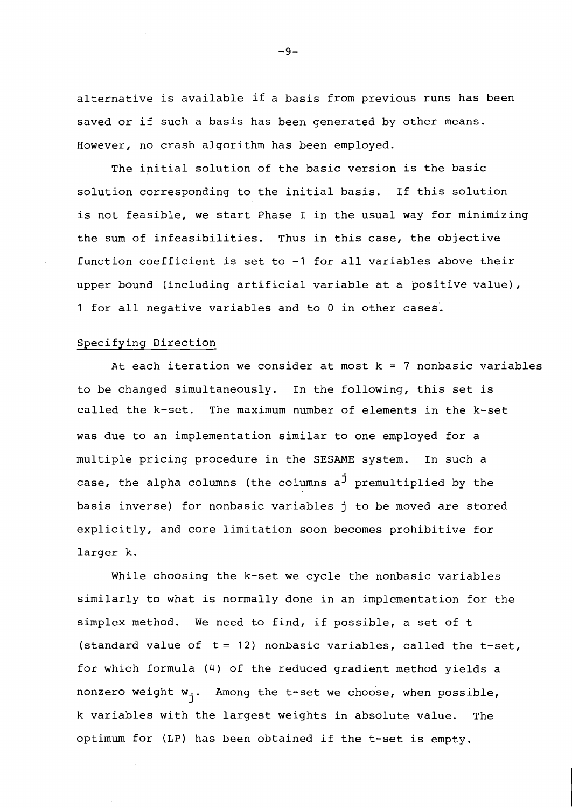alternative is available if a basis from previous runs has been saved or if such a basis has been generated by other means. However, no crash algorithm has been employed.

The initial solution of the basic version is the basic solution corresponding to the initial basis. If this solution is not feasible, we start Phase I in the usual way for minimizing the sum of infeasibilities. Thus in this case, the objective function coefficient is set to -1 for all variables above their upper bound (including artificial variable at a positive value), 1 for all negative variables and to **0** in other cases.

#### Specifying Direction

At each iteration we consider at most  $k = 7$  nonbasic variables to be changed simultaneously. In the following, this set is called the k-set. The maximum number of elements in the k-set was due to an implementation similar to one employed for a multiple pricing procedure in the **SESAME** system. In such a case, the alpha columns (the columns  $a^j$  premultiplied by the basis inverse) for nonbasic variables j to be moved are stored explicitly, and core limitation soon becomes prohibitive for larger k.

While choosing the k-set we cycle the nonbasic variables similarly to what is normally done in an implementation for the simplex method. We need to find, if possible, a set of t (standard value of  $t = 12$ ) nonbasic variables, called the  $t-set$ , for which formula (4) of the reduced gradient method yields a nonzero weight  $w_i$ . Among the t-set we choose, when possible, k variables with the largest weights in absolute value. The optimum for (LP) has been obtained if the t-set is empty.

 $-9-$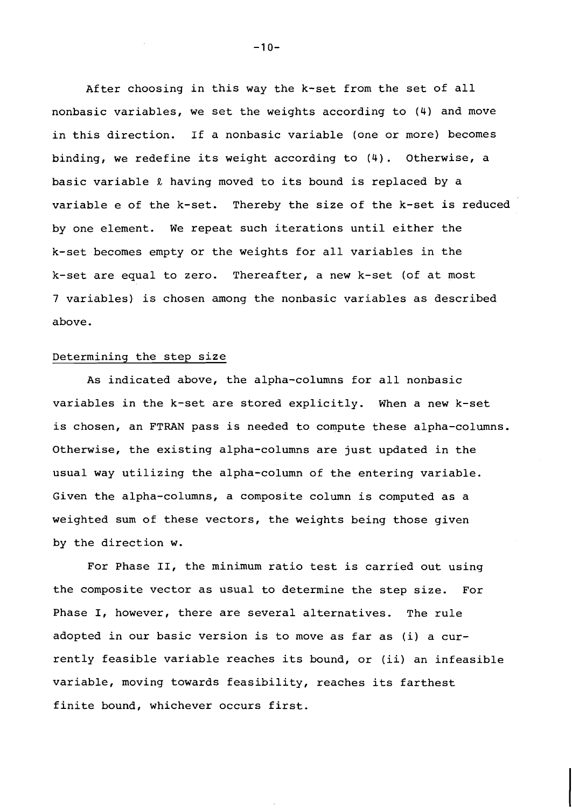After choosing in this way the k-set from the set of all nonbasic variables, we set the weights according to (4) and move in this direction. If a nonbasic variable (one or more) becomes binding, we redefine its weight according to (4). Otherwise, a basic variable **R** having moved to its bound is replaced by a variable e of the k-set. Thereby the size of the k-set is reduced by one element. We repeat such iterations until either the k-set becomes empty or the weights for all variables in the k-set are equal to zero. Thereafter, a new k-set (of at most 7 variables) is chosen among the nonbasic variables as described above.

#### Determining the step size

As indicated above, the alpha-columns for all nonbasic variables in the k-set are stored explicitly. When a new k-set is chosen, an FTRAN pass is needed to compute these alpha-columns. Otherwise, the existing alpha-columns are just updated in the usual way utilizing the alpha-column of the entering variable. Given the alpha-columns, a composite column is computed as a weighted sum of these vectors, the weights being those given by the direction w.

For Phase 11, the minimum ratio test is carried out using the composite vector as usual to determine the step size. For Phase I, however, there are several alternatives. The rule adopted in our basic version is to move as far as (i) a currently feasible variable reaches its bound, or (ii) an infeasible variable, moving towards feasibility, reaches its farthest finite bound, whichever occurs first.

 $-10-$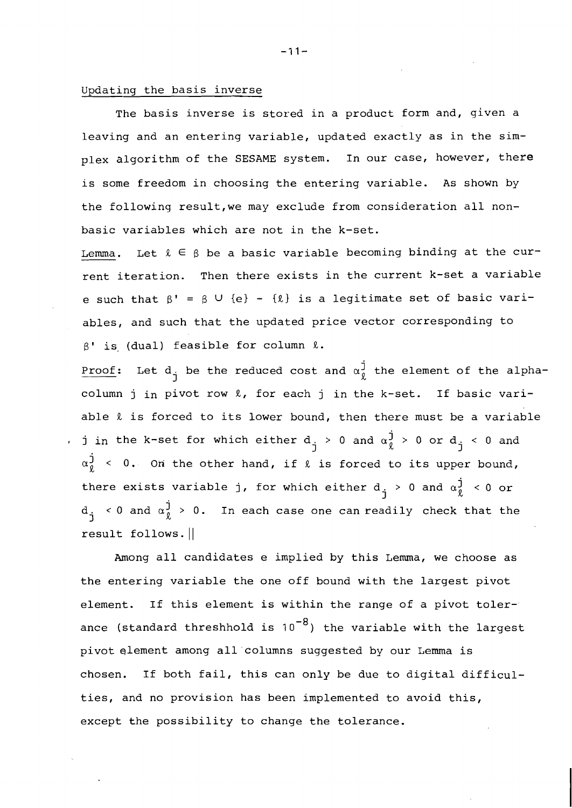### Updating the basis inverse

The basis inverse is stored in a product form and, given a leaving and an entering variable, updated exactly as in the simplex algorithm of the SESAME system. In our case, however, there is some freedom in choosing the entering variable. As shown by the following result,we may exclude from consideration all nonbasic variables which are not in the k-set.

Lemma. Let  $\ell \in \beta$  be a basic variable becoming binding at the current iteration. Then there exists in the current k-set a variable e such that  $\beta' = \beta \cup \{e\} - \{\ell\}$  is a legitimate set of basic variables, and such that the updated price vector corresponding to  $\beta'$  is (dual) feasible for column  $\ell$ .

Proof: Let  $d_i$  be the reduced cost and  $\alpha_{\ell}^j$  the element of the alphacolumn j in pivot row  $l$ , for each j in the k-set. If basic variable  $\ell$  is forced to its lower bound, then there must be a variable , j in the k-set for which either  $d_{\frac{1}{2}} > 0$  and  $\alpha_0^{\frac{1}{2}} > 0$  or  $d_{\frac{1}{2}} < 0$  and j  $\sim$  and  $u_{\ell}$   $\sim$  0 or  $u_{\ell}$  $\alpha_0^{\dot{j}}$  < 0. On the other hand, if  $\ell$  is forced to its upper bound, there exists variable j, for which either  $d_j > 0$  and  $\alpha_{\ell}^{J} < 0$  or  $d_i \leq 0$  and  $\alpha_{\ell}^{j} > 0$ . In each case one can readily check that the result follows.  $||$ 

Among all candidates e implied by this Lemma, we choose as the entering variable the one off bound with the largest pivot element. If this element is within the range of a pivot tolerance (standard threshhold is  $10^{-8}$ ) the variable with the largest pivot element among all columns suggested by our Lemma is chosen. If both fail, this can only be due to digital difficulties, and no provision has been implemented to avoid this, except the possibility to change the tolerance.

 $-11-$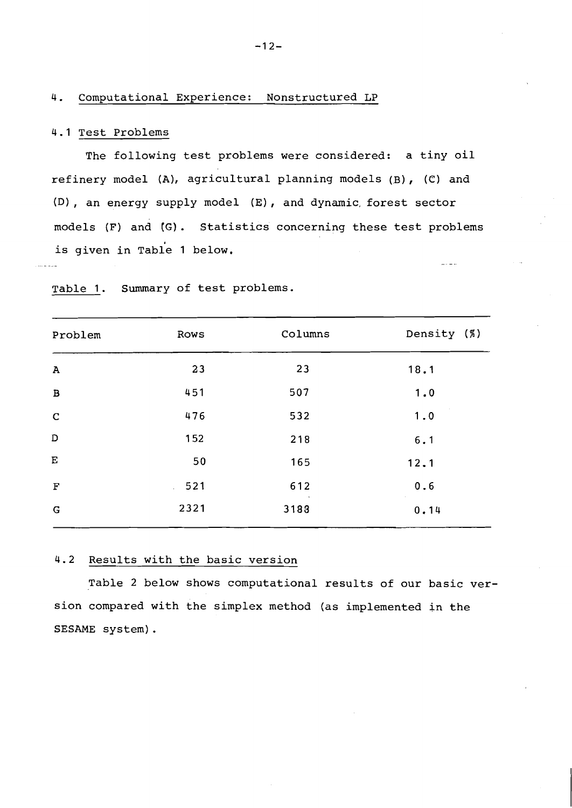### 4. Computational Experience: Nonstructured LP

### 4.1 Test Problems

The following test problems were considered: a tiny oil refinery model (A), agricultural planning models (B), (C) and (Dl, an energy supply model **(E),** and dynamic, forest sector models (F) and **(G).** Statistics concerning these test problems is given in Table 1 below. - --. - -

| Problem      | Rows | Columns | Density (%) |
|--------------|------|---------|-------------|
| $\mathbf{A}$ | 23   | 23      | 18.1        |
| $\, {\bf B}$ | 451  | 507     | 1.0         |
| $\mathbf C$  | 476  | 532     | 1.0         |
| D            | 152  | 218     | 6.1         |
| ${\bf E}$    | 50   | 165     | 12.1        |
| $\mathbf F$  | 521  | 612     | 0.6         |
| G            | 2321 | 3183    | 0.14        |

Table 1. Summary of test problems.

# 4.2 Results with the basic version

Table 2 below shows computational results of our basic version compared with the simplex method (as implemented in the SESAME system) .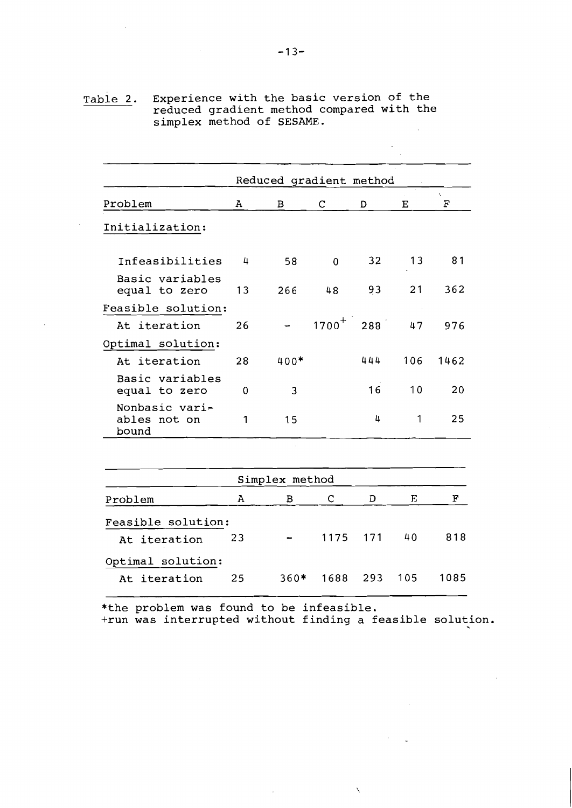Table 2. Experience with the basic version of the reduced gradient method compared with the simplex method of SESAME.  $\tilde{\mathcal{L}}$ 

|                                         |    | Reduced gradient method |                |     |     |         |
|-----------------------------------------|----|-------------------------|----------------|-----|-----|---------|
| Problem                                 | А  | $\mathbf B$             | $\mathsf C$    | D   | Ε   | Ň.<br>F |
| Initialization:                         |    |                         |                |     |     |         |
| Infeasibilities                         | 4  | 58                      | $\overline{0}$ | 32  | 13  | 81      |
| Basic variables<br>equal to zero        | 13 | 266                     | 48             | 93  | 21  | 362     |
| Feasible solution:<br>At iteration      | 26 |                         | $1700^{+}$     | 288 | 47  | 976     |
| Optimal solution:                       |    |                         |                |     |     |         |
| At iteration                            | 28 | $400*$                  |                | 444 | 106 | 1462    |
| Basic variables<br>equal to zero        | 0  | 3                       |                | 16  | 10  | 20      |
| Nonbasic vari-<br>ables not on<br>bound | 1  | 15                      |                | 4   | 1   | 25      |
|                                         |    |                         |                |     |     |         |
|                                         |    | Simplex method          |                |     |     |         |
| Problem                                 | A  | B                       | C              | D   | Е   | F       |
| Feasible solution:                      |    |                         |                |     |     |         |
| At iteration                            | 23 |                         | 1175           | 171 | 40  | 818     |
| Optimal solution:                       |    |                         |                |     |     |         |
| At iteration                            | 25 | $360*$                  | 1688           | 293 | 105 | 1085    |
|                                         |    |                         |                |     |     |         |

\*the problem was found to be infeasible.<br>+run was interrupted without finding a feasible solution.

l.

 $-13-$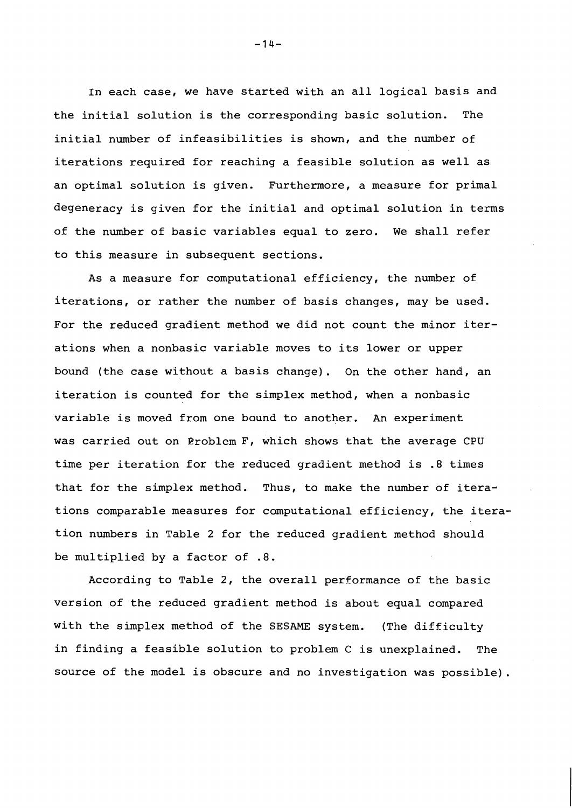In each case, we have started with an all logical basis and the initial solution is the corresponding basic solution. The initial number of infeasibilities is shown, and the number of iterations required for reaching a feasible solution as well as an optimal solution is given. Furthermore, a measure for primal degeneracy is given for the initial and optimal solution in terms of the number of basic variables equal to zero. We shall refer to this measure in subsequent sections.

As a measure for computational efficiency, the number of iterations, or rather the number of basis changes, may be used. For the reduced gradient method we did not count the minor iterations when a nonbasic variable maves to its lower or upper bound (the case without a basis change). On the other hand, an iteration is counted for the simplex method, when a nonbasic variable is moved from one bound to another. An experiment was carried out on Eroblem F, which shows that the average CPU time per iteration for the reduced gradient method is **.8** times that for the simplex method. Thus, to make the number of iterations comparable measures for computational efficiency, the iteration numbers in Table 2 for the reduced gradient method should be multiplied by a factor of .8.

According to Table 2, the overall performance of the basic version of the reduced gradient method is about equal compared with the simplex method of the SESAME system. (The difficulty in finding a feasible solution to problem C is unexplained. The source of the model is obscure and no investigation was possible).

 $-14-$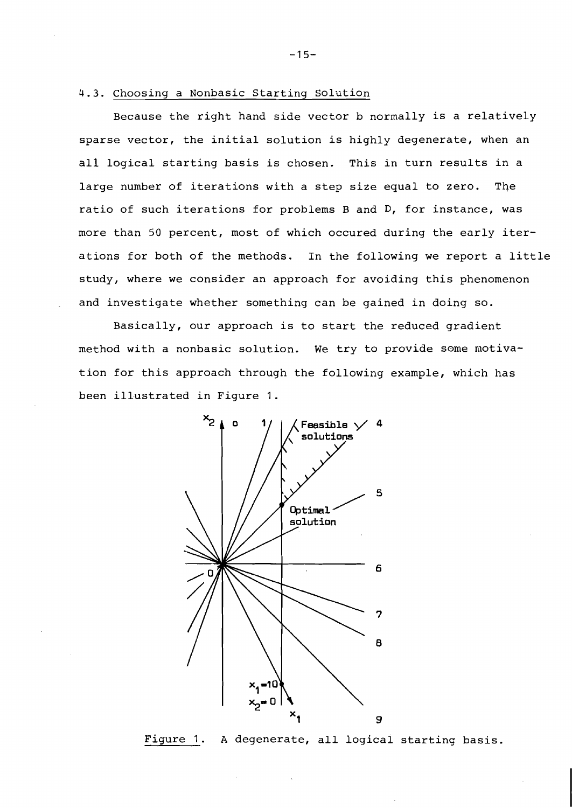### **4.3.** Choosing a Nonbasic Starting Solution

Because the right hand side vector b normally is a relatively sparse vector, the initial solution is highly degenerate, when an all logical starting basis is chosen. This in turn results in a large number of iterations with a step size equal to zero. The ratio of such iterations for problems B and **D,** for instance, was more than 50 percent, most of which occured during the early iterations for both of the methods. In the following we report a little study, where we consider an approach for avoiding this phenomenon and investigate whether something can be gained in doing so.

Basically, our approach is to start the reduced gradient method with a nonbasic solution. We try to provide some motivation for this approach through the following example, which has been illustrated in Figure 1.



Figure 1. **A** degenerate, all logical starting basis.

 $-15-$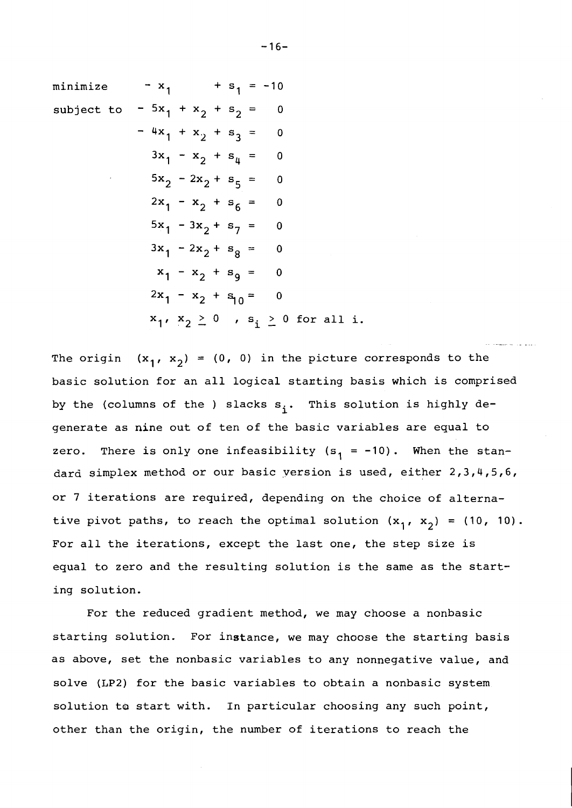minimize 
$$
-x_1 + s_1 = -10
$$
  
\nsubject to  $-5x_1 + x_2 + s_2 = 0$   
\n $-4x_1 + x_2 + s_3 = 0$   
\n $3x_1 - x_2 + s_4 = 0$   
\n $5x_2 - 2x_2 + s_5 = 0$   
\n $2x_1 - x_2 + s_6 = 0$   
\n $5x_1 - 3x_2 + s_7 = 0$   
\n $3x_1 - 2x_2 + s_8 = 0$   
\n $x_1 - x_2 + s_9 = 0$   
\n $2x_1 - x_2 + s_{10} = 0$   
\n $x_1, x_2 \ge 0$ ,  $s_i \ge 0$  for all i.

The origin  $(x_1, x_2) = (0, 0)$  in the picture corresponds to the basic solution for an all logical stanting basis which is comprised by the (columns of the ) slacks  $s_i$ . This solution is highly degenerate as nine out of ten of the basic variables are equal to zero. There is only one infeasibility  $(s_1 = -10)$ . When the standard simplex method or our basic version is used, either  $2,3,4,5,6$ , or 7 iterations are required, depending on the choice of alternative pivot paths, to reach the optimal solution  $(x_1, x_2) = (10, 10)$ . For all the iterations, except the last one, the step size is equal to zero and the resulting solution is the same as the starting solution.

--

For the reduced gradient method, we may choose a nonbasic starting solution. For instance, we may choose the starting basis as above, set the nonbasic variables to any nonnegative value, and solve (LP2) for the basic variables to obtain a nonbasic system solution to start with. In particular choosing any such point, other than the origin, the number of iterations to reach the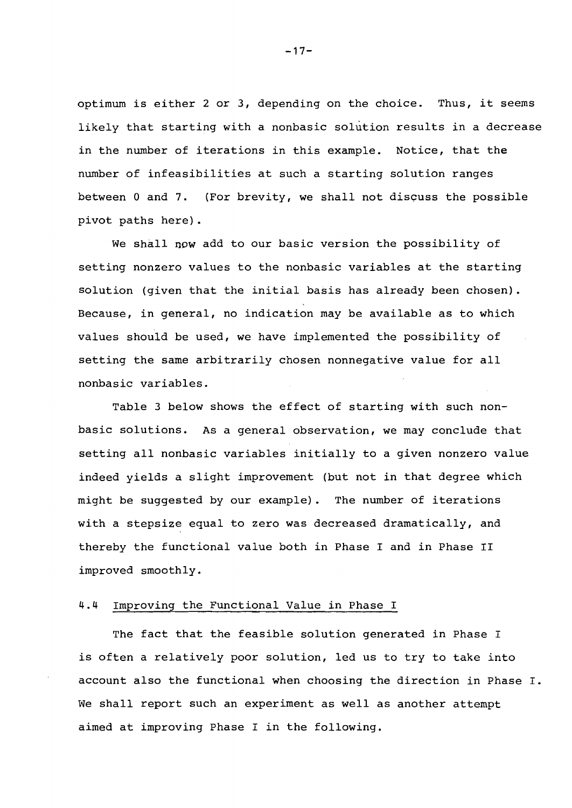optimum is either 2 or 3, depending on the choice. Thus, it seems likely that starting with a nonbasic solution results in a decrease in the number of iterations in this example. Notice, that the number of infeasibilities at such a starting solution ranges between **0** and 7. (For brevity, we shall not discuss the possible pivot paths here).

We shall **now** add to our basic version the possibility of setting nonzero values to the nonbasic variables at the starting solution (given that the initial basis has already been chosen). Because, in general, no indication may be available as to which values should be used, we have implemented the possibility of setting the same arbitrarily chosen nonnegative value for all nonbasic variables.

Table 3 below shows the effect of starting with such nonbasic solutions. As a general observation, we may conclude that setting all nonbasic variables initially to a given nonzero value indeed yields a slight improvement (but not in that degree which might be suggested by our example). The number of iterations with a stepsize equal to zero was decreased dramatically, and thereby the functional value both in Phase I and in Phase I1 improved smoothly.

### 4.4 Improving the Functional Value in Phase I

The fact that the feasible solution generated in Phase I is often a relatively poor solution, led us to try to take into account also the functional when choosing the direction in Phase I. We shall report such an experiment as well as another attempt aimed at improving Phase I in the following.

 $-17-$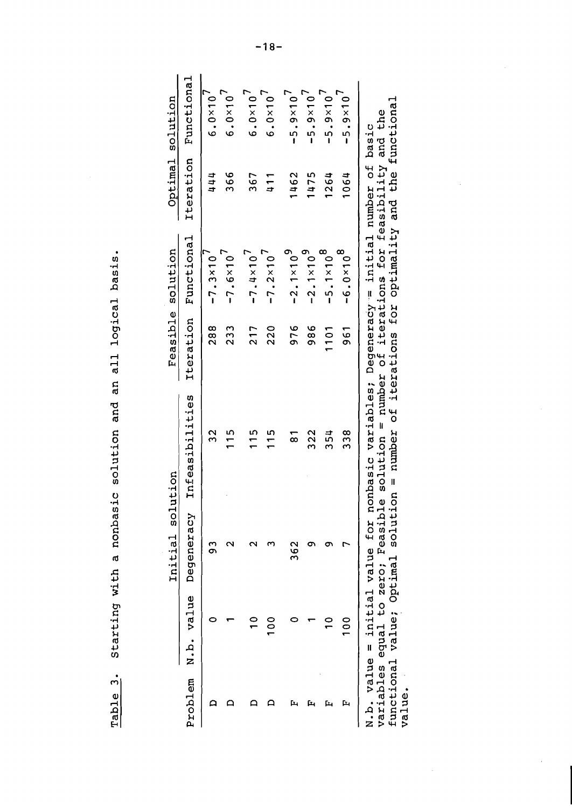Table 3. Starting with a nonbasic solution and an all logical basis. Starting with a nonbasic solution and an all logical basis. Table 3.

|    |                    |                                                 | Initial solution |                                                                                    |          | Feasible solution    | Optimal solution |                       |
|----|--------------------|-------------------------------------------------|------------------|------------------------------------------------------------------------------------|----------|----------------------|------------------|-----------------------|
|    | Problem N.b. value |                                                 | Degeneracy       | Infeasibilities                                                                    |          | Iteration Functional |                  | Iteration Functional  |
|    |                    |                                                 | თ<br>თ           | 32                                                                                 | 88<br>28 | $-7.3 \times 10'$    | 444              | $6.0 \times 10^{7}$   |
|    |                    |                                                 |                  | $\frac{5}{1}$                                                                      | 233      | $-7.6 \times 10^{7}$ | 366              | $6.0 \times 10^{7}$   |
|    |                    |                                                 |                  | $\frac{5}{1}$                                                                      | 217      | $-7.4 \times 10$     | 367              | $6.0 \times 10^{7}$   |
|    |                    | $\begin{smallmatrix}0&0\1&0&0\end{smallmatrix}$ |                  | $\frac{5}{1}$                                                                      | 220      | $-7.2 \times 10'$    | 411              | $6.0 \times 10^{1}$   |
| Ŀ, |                    |                                                 | 362              | $\frac{1}{8}$                                                                      | 976      | $-2.1 \times 10^9$   | 1462             | $-5.9 \times 10^{7}$  |
| Ŀц |                    |                                                 | σ                | 322                                                                                | 986      | $-2.1 \times 10^{9}$ | 1475             | $-5.9 \times 10'$     |
| Ŀц |                    |                                                 |                  | ង<br>ភ                                                                             | 1101     | $-5.1 \times 10^8$   | 1264             | $-5.9 \times 10^{7}$  |
| Ŀч |                    | 100                                             |                  | 38<br>33                                                                           | 561      | $-6.0 \times 10^{8}$ | 1064             | $-5.9 \times 10^{-7}$ |
|    |                    |                                                 |                  | value = initial value for nonbasic variables; Degeneracy = initial number of basic |          |                      |                  |                       |

functional value; Optimal solution = number of iterations for optimality and the functional functional value; Optimal solution = number of iterations for optimality and the functional<br>value. variables equal to zero; Feasible solution = number of iterations for feasibility and the variables equal to zero; Feasible solution = number of iterations for feasibility and the N.b. value = initial value for nonbasic variables; Degeneracy-= initial number of basic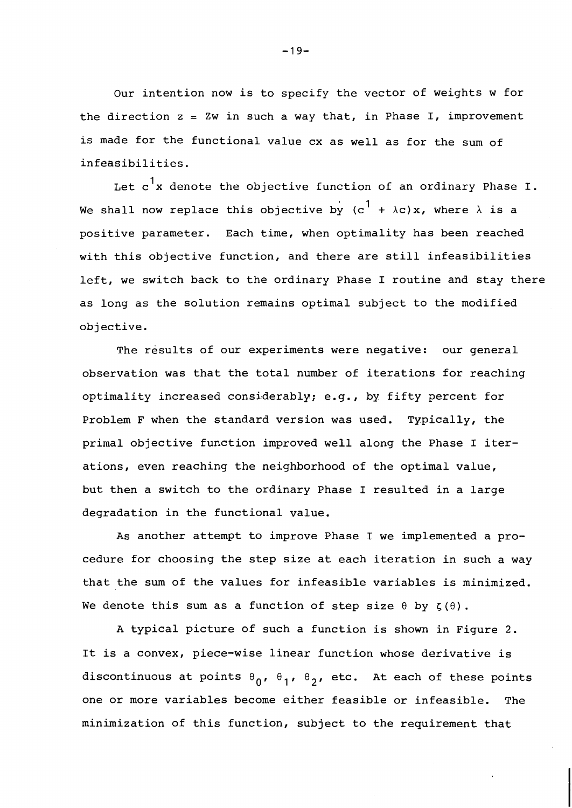Our intention now is to specify the vector of weights w for the direction  $z = 2w$  in such a way that, in Phase I, improvement is made for the functional value cx as well as for the sum of infeasibilities.

Let  $c^1$ x denote the objective function of an ordinary Phase I. We shall now replace this objective by  $(c^1 + \lambda c)x$ , where  $\lambda$  is a positive parameter. Each time, when optimality has been reached with this objective function, and there are still infeasibilities left, we switch back to the ordinary Phase I routine and stay there as long as the solution remains optimal subject to the modified objective.

The results of our experiments were negative: our general observation was that the total number of iterations for reaching optimality increased considerably; e.g., by fifty percent for Problem F when the standard version was used. Typically, the primal objective function improved well along the Phase I iterations, even reaching the neighborhood of the optimal value, but then a switch to the ordinary Phase I resulted in a large degradation in the functional value.

As another attempt to improve Phase I we implemented a procedure for choosing the step size at each iteration in such a way that the sum of the values for infeasible variables is minimized. We denote this sum as a function of step size  $\theta$  by  $\zeta(\theta)$ .

A typical picture of such a function is shown in Figure 2. It is a convex, piece-wise linear function whose derivative is discontinuous at points  $\theta_0$ ,  $\theta_1$ ,  $\theta_2$ , etc. At each of these points one or more variables become either feasible or infeasible. The minimization of this function, subject to the requirement that

 $-19-$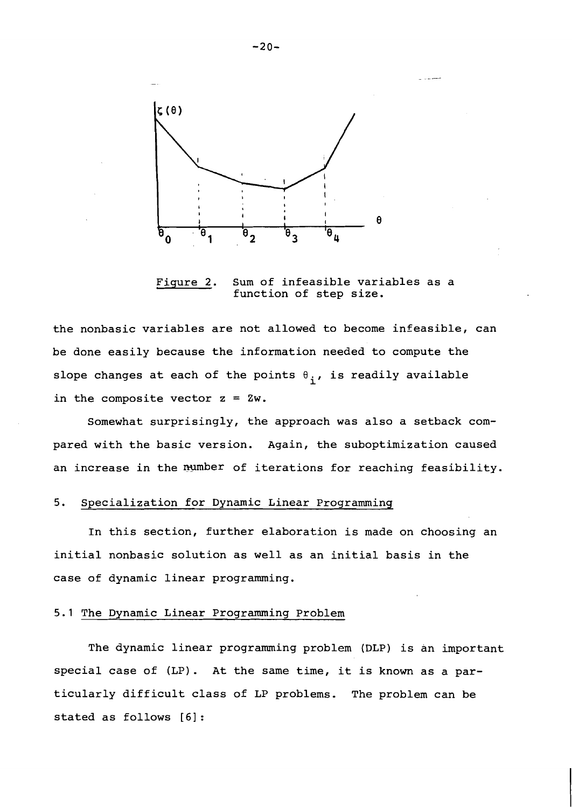

Fiqure 2. Sum of infeasible variables as a function of step size.

the nonbasic variables are not allowed to become infeasible, can be done easily because the information needed to compute the slope changes at each of the points  $\theta_i$ , is readily available in the composite vector  $z = 2w$ .

Somewhat surprisingly, the approach was also a setback compared with the basic version. Again, the suboptimization caused an increase in the number of iterations for reaching feasibility.

# 5. Specialization for Dynamic Linear Programming

In this section, further elaboration is made on choosing an initial nonbasic solution as well as an initial basis in the case of dynamic linear programming.

### 5.1 The Dynamic Linear Programming Problem

The dynamic linear programming problem (DLP) is an important special case of (LP). At the same time, it is known as a particularly difficult class of LP problems. The problem can be stated as follows **[6]** :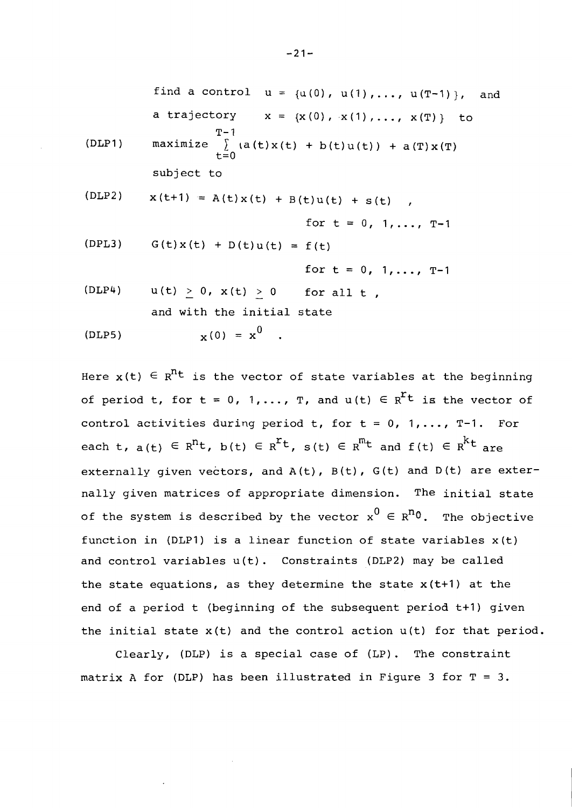find a control 
$$
u = {u(0), u(1), ..., u(T-1)}
$$
, and  
\na trajectory  $x = {x(0), x(1), ..., x(T)}$  to  
\n $T-1$   
\n(DLP1) maximize  $\int_{t=0}^{T-1} (a(t)x(t) + b(t)u(t)) + a(T)x(T)$   
\nsubject to  
\n(DLP2)  $x(t+1) = A(t)x(t) + B(t)u(t) + s(t)$ ,  
\nfor  $t = 0, 1, ..., T-1$ 

$$
(DPL3) \tG(t)x(t) + D(t)u(t) = f(t)
$$

for 
$$
t = 0, 1, ..., T-1
$$

 $(DLP4)$  u(t) > 0, x(t) > 0 for all t, and with the initial state

$$
(\text{DLP5}) \qquad \qquad \mathbf{x}^{(0)} = \mathbf{x}^0
$$

Here  $x(t) \in R^{n_t}$  is the vector of state variables at the beginning of period t, for  $t = 0$ , 1,..., T, and  $u(t) \in R^{r}t$  is the vector of control activities during period t, for  $t = 0$ , 1,..., T-1. For each t,  $a(t) \in R^{n}t$ ,  $b(t) \in R^{r}t$ ,  $s(t) \in R^{m}t$  and  $f(t) \in R^{k}t$  are externally given vectors, and  $A(t)$ ,  $B(t)$ ,  $G(t)$  and  $D(t)$  are externally given matrices of appropriate dimension. The initial state of the system is described by the vector  $x^0 \in R^{n_0}$ . The objective function in (DLP1) is a linear function of state variables x(t) and control variables u(t). Constraints (DLP2) may be called the state equations, as they determine the state  $x(t+1)$  at the end of a period t (beginning of the subsequent period t+l) given the initial state  $x(t)$  and the control action  $u(t)$  for that period.

Clearly, (DLP) is a special case of (LP). The constraint matrix A for (DLP) has been illustrated in Figure **3** for T = **3.** 

 $-21-$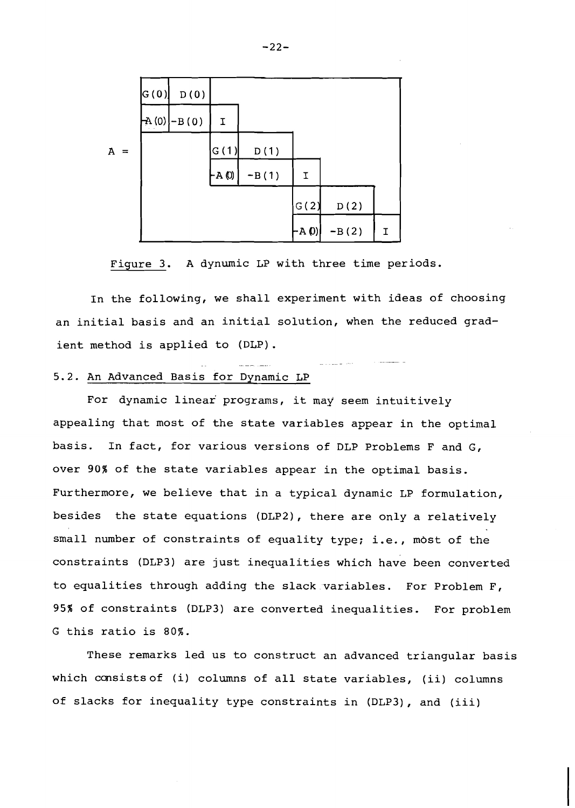

Figure 3. A dynumic LP with three time periods.

In the following, we shall experiment with ideas of choosing an initial basis and an initial solution, when the reduced gradient method is applied to (DLP). -- .- - -

# 5.2. An Advanced Basis for Dynamic LP

For dynamic linear' programs, it may seem intuitively appealing that most of the state variables appear in the optimal basis. In fact, for various versions of DLP Problems F and G, over **90%** of the state variables appear in the optimal basis. Furthermore, we believe that in a typical dynamic LP formulation, besides the state equations (DLP2), there are only a relatively small number of constraints of equality type; i.e., most of the constraints (DLP3) are just inequalities which have been converted to equalities through adding the slack variables. For Problem F, 95% of constraints (DLP3) are converted inequalities. For problem G this ratio is 80%.

These remarks led us to construct an advanced triangular basis which consistsof (i) columns of all state variables, (ii) columns of slacks for inequality type constraints in (DLP3), and (iii)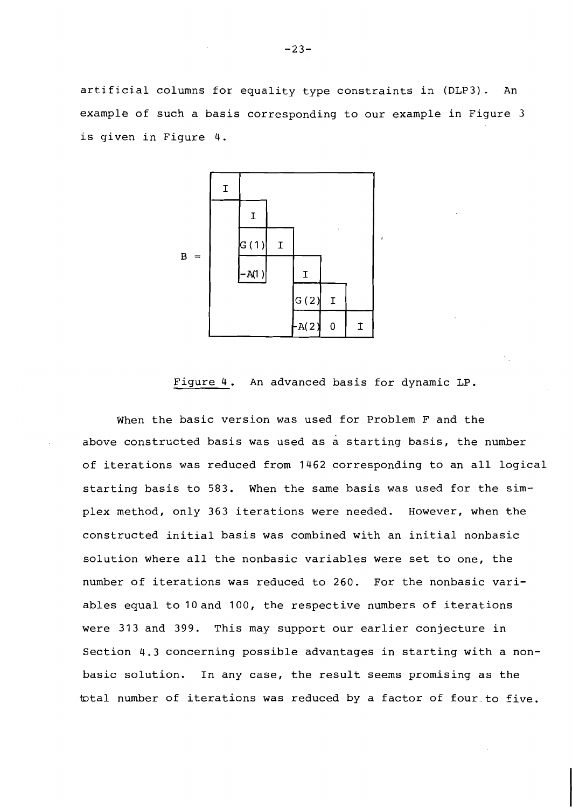artificial columns for equality type constraints in (DLP3). An example of such a basis corresponding to our example in Figure **3**  is given in Figure 4.



Figure 4. An advanced basis for dynamic LP.

When the basic version was used for Problem F and the above constructed basis was used as a starting basis, the number of iterations was reduced from 1462 corresponding to an all logical starting basis to 583. When the same basis was used for the simplex method, only 363 iterations were needed. However, when the constructed initial basis was combined with an initial nonbasic solution where all the nonbasic variables were set to one, the number of iterations was reduced to 260. For the nonbasic variables equal to 10and 100, the respective numbers of iterations were 313 and 399. This may support our earlier conjecture in Section **4.3** concerning possible advantages in starting with a nonbasic solution. In any case, the result seems promising as the total number of iterations was reduced by a factor of four.to five.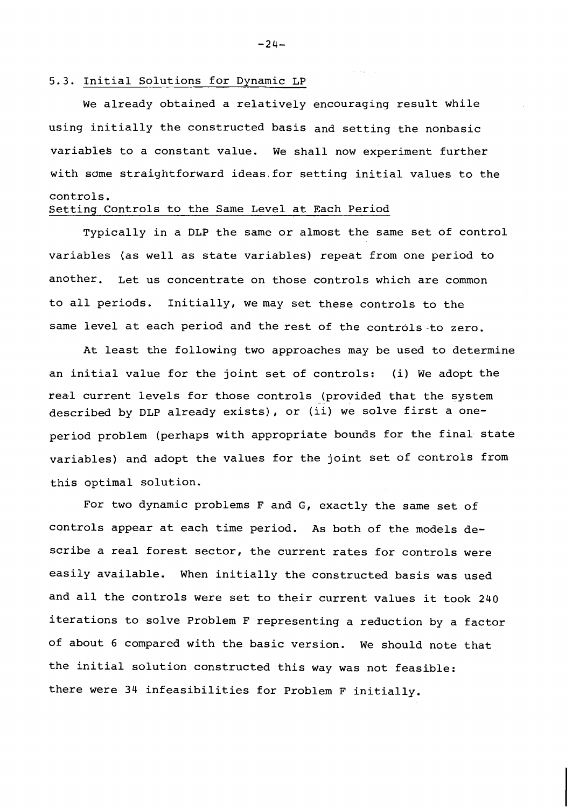#### 5.3. Initial Solutions for Dynamic LP

We already obtained a relatively encouraging result while using initially the constructed basis and setting the nonbasic variablek to a constant value. We shall now experiment further with some straightforward ideas.for setting initial values to the controls.

# Setting Controls to the Same Level at Each Period

Typically in a DLP the same or almost the same set of control variables (as well as state variables) repeat from one period to another. Let us concentrate on those controls which are common to all periods. Initially, we may set these controls to the same level at each period and the rest of the controls-to zero.

At least the following two approaches may be used to determine an initial value for the joint set of controls: (i) We adopt the real current levels for those controls (provided that the system described by DLP already exists), or (ii) we solve first a oneperiod problem (perhaps with appropriate bounds for the final state variables) and adopt the values for the joint set of controls from this optimal solution.

For two dynamic problems F and G, exactly the same set of controls appear at each time period. As both of the models describe a real forest sector, the current rates for controls were easily available. When initially the constructed basis was used and all the controls were set to their current values it took 240 iterations to solve Problem F representing a reduction by a factor of about 6 compared with the basic version. We should note that the initial solution constructed this way was not feasible: there were 34 infeasibilities for Problem F initially.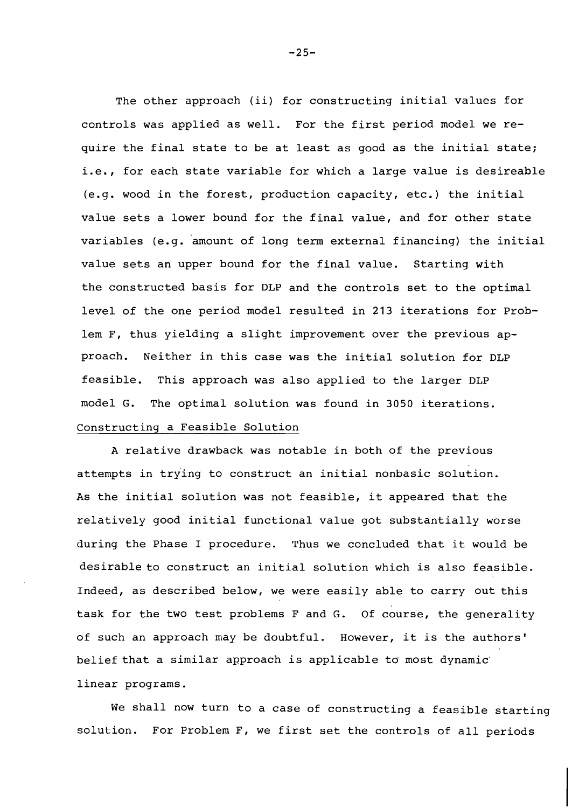The other approach (ii) for constructing initial values for controls was applied as well. For the first period model we require the final state to be at least as good as the initial state; i.e., for each state variable for which a large value is desireable (e.g. wood in the forest, production capacity, etc.) the initial value sets a lower bound for the final value, and for other state variables (e.g. amount of long term external financing) the initial value sets an upper bound for the final value. Starting with the constructed basis for DLP and the controls set to the optimal level of the one period model resulted in **213** iterations for Problem F, thus yielding a slight improvement over the previous approach. Neither in this case was the initial solution for DLP feasible. This approach was also applied to the larger DLP model G. The optimal solution was found in **3050** iterations. Constructing a Feasible Solution

A relative drawback was notable in both of the previous attempts in try'ing to construct an initial nonbasic solution. As the initial solution was not feasible, it appeared that the relatively good initial functional value got substantially worse during the Phase I procedure. Thus we concluded that it would be desirable to construct an initial solution which is also feasible. Indeed, as described below, we were easily able to carry out this task for the two test problems F and G. Of course, the generality of such an approach may be doubtful. However, it is the authors' belief that a similar approach is applicable to most dynamic' linear programs.

We shall now turn to a case of constructing a feasible starting solution. For Problem F, we first set the controls of all periods

 $-25-$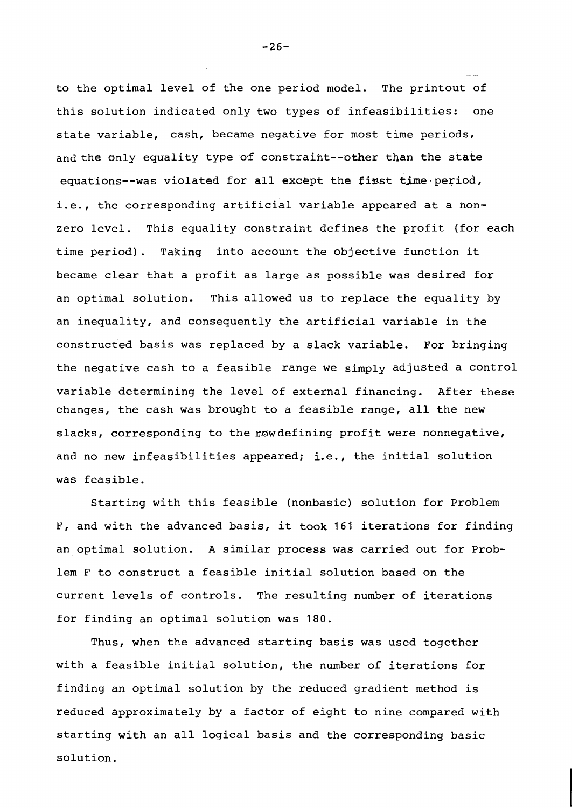to the optimal level of the one period model. The printout of this solution indicated only two types of infeasibilities: one state variable, cash, became negative for most time periods, and the only equality type of constraint--other than the state equations--was violated for all except the first time period, i.e., the corresponding artificial variable appeared at a nonzero level. This equality constraint defines the profit (for each time period). Taking into account the objective function it became clear that a profit as large as possible was desired for an optimal solution. This allowed us to replace the equality by an inequality, and consequently the artificial variable in the constructed basis was replaced by a slack variable. For bringing the negative cash to a feasible range we simply adjusted a control variable determining the level of external financing. After these changes, the cash was brought to a feasible range, all the new slacks, corresponding to the row defining profit were nonnegative, and no new infeasibilities appeared; i.e., the initial solution was feasible.

Starting with this feasible (nonbasic) solution for Problem F, and with the advanced basis, it took 161 iterations for finding an optimal solution. A similar process was carried out for Problem F to construct a feasible initial solution based on the current levels of controls. The resulting number of iterations for finding an optimal solution was 180.

Thus, when the advanced starting basis was used together with a feasible initial solution, the number of iterations for finding an optimal solution by the reduced gradient method is reduced approximately by a factor of eight to nine compared with starting with an all logical basis and the corresponding basic solution.

 $-26-$ 

.. -.